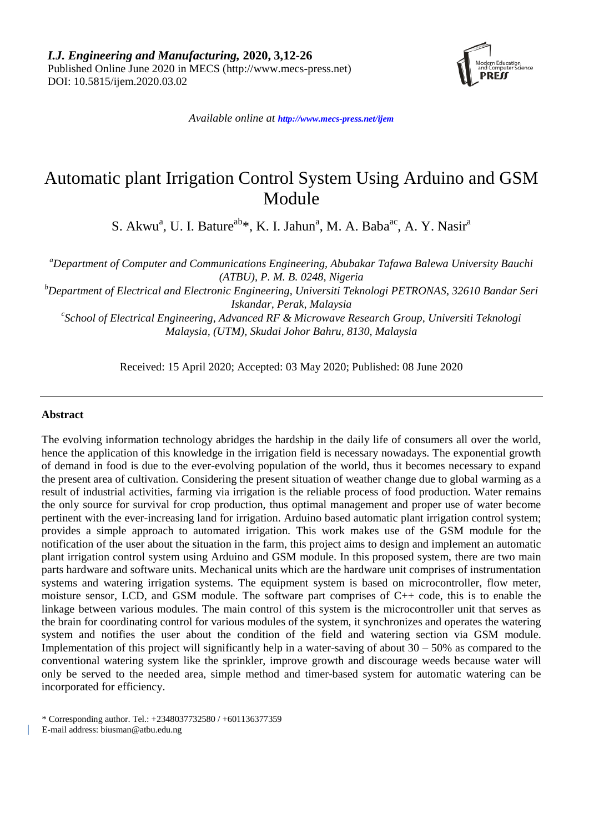

*Available online at <http://www.mecs-press.net/ijem>*

# Automatic plant Irrigation Control System Using Arduino and GSM Module

S. Akwu<sup>a</sup>, U. I. Bature<sup>ab\*</sup>, K. I. Jahun<sup>a</sup>, M. A. Baba<sup>ac</sup>, A. Y. Nasir<sup>a</sup>

*a Department of Computer and Communications Engineering, Abubakar Tafawa Balewa University Bauchi (ATBU), P. M. B. 0248, Nigeria*

*b Department of Electrical and Electronic Engineering, Universiti Teknologi PETRONAS, 32610 Bandar Seri Iskandar, Perak, Malaysia*

*c School of Electrical Engineering, Advanced RF & Microwave Research Group, Universiti Teknologi Malaysia, (UTM), Skudai Johor Bahru, 8130, Malaysia*

Received: 15 April 2020; Accepted: 03 May 2020; Published: 08 June 2020

## **Abstract**

The evolving information technology abridges the hardship in the daily life of consumers all over the world, hence the application of this knowledge in the irrigation field is necessary nowadays. The exponential growth of demand in food is due to the ever-evolving population of the world, thus it becomes necessary to expand the present area of cultivation. Considering the present situation of weather change due to global warming as a result of industrial activities, farming via irrigation is the reliable process of food production. Water remains the only source for survival for crop production, thus optimal management and proper use of water become pertinent with the ever-increasing land for irrigation. Arduino based automatic plant irrigation control system; provides a simple approach to automated irrigation. This work makes use of the GSM module for the notification of the user about the situation in the farm, this project aims to design and implement an automatic plant irrigation control system using Arduino and GSM module. In this proposed system, there are two main parts hardware and software units. Mechanical units which are the hardware unit comprises of instrumentation systems and watering irrigation systems. The equipment system is based on microcontroller, flow meter, moisture sensor, LCD, and GSM module. The software part comprises of C++ code, this is to enable the linkage between various modules. The main control of this system is the microcontroller unit that serves as the brain for coordinating control for various modules of the system, it synchronizes and operates the watering system and notifies the user about the condition of the field and watering section via GSM module. Implementation of this project will significantly help in a water-saving of about  $30 - 50\%$  as compared to the conventional watering system like the sprinkler, improve growth and discourage weeds because water will only be served to the needed area, simple method and timer-based system for automatic watering can be incorporated for efficiency.

\* Corresponding author. Tel.: +2348037732580 / +601136377359

E-mail address: biusman@atbu.edu.ng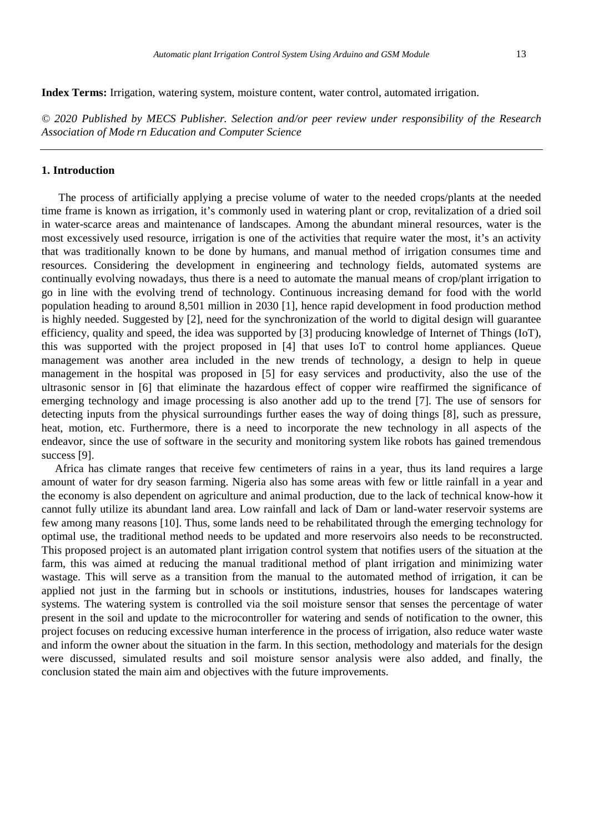**Index Terms:** Irrigation, watering system, moisture content, water control, automated irrigation.

*© 2020 Published by MECS Publisher. Selection and/or peer review under responsibility of the Research Association of Mode rn Education and Computer Science*

## **1. Introduction**

The process of artificially applying a precise volume of water to the needed crops/plants at the needed time frame is known as irrigation, it's commonly used in watering plant or crop, revitalization of a dried soil in water-scarce areas and maintenance of landscapes. Among the abundant mineral resources, water is the most excessively used resource, irrigation is one of the activities that require water the most, it's an activity that was traditionally known to be done by humans, and manual method of irrigation consumes time and resources. Considering the development in engineering and technology fields, automated systems are continually evolving nowadays, thus there is a need to automate the manual means of crop/plant irrigation to go in line with the evolving trend of technology. Continuous increasing demand for food with the world population heading to around 8,501 million in 2030 [1], hence rapid development in food production method is highly needed. Suggested by [2], need for the synchronization of the world to digital design will guarantee efficiency, quality and speed, the idea was supported by [3] producing knowledge of Internet of Things (IoT), this was supported with the project proposed in [4] that uses IoT to control home appliances. Queue management was another area included in the new trends of technology, a design to help in queue management in the hospital was proposed in [5] for easy services and productivity, also the use of the ultrasonic sensor in [6] that eliminate the hazardous effect of copper wire reaffirmed the significance of emerging technology and image processing is also another add up to the trend [7]. The use of sensors for detecting inputs from the physical surroundings further eases the way of doing things [8], such as pressure, heat, motion, etc. Furthermore, there is a need to incorporate the new technology in all aspects of the endeavor, since the use of software in the security and monitoring system like robots has gained tremendous success [9].

Africa has climate ranges that receive few centimeters of rains in a year, thus its land requires a large amount of water for dry season farming. Nigeria also has some areas with few or little rainfall in a year and the economy is also dependent on agriculture and animal production, due to the lack of technical know-how it cannot fully utilize its abundant land area. Low rainfall and lack of Dam or land-water reservoir systems are few among many reasons [10]. Thus, some lands need to be rehabilitated through the emerging technology for optimal use, the traditional method needs to be updated and more reservoirs also needs to be reconstructed. This proposed project is an automated plant irrigation control system that notifies users of the situation at the farm, this was aimed at reducing the manual traditional method of plant irrigation and minimizing water wastage. This will serve as a transition from the manual to the automated method of irrigation, it can be applied not just in the farming but in schools or institutions, industries, houses for landscapes watering systems. The watering system is controlled via the soil moisture sensor that senses the percentage of water present in the soil and update to the microcontroller for watering and sends of notification to the owner, this project focuses on reducing excessive human interference in the process of irrigation, also reduce water waste and inform the owner about the situation in the farm. In this section, methodology and materials for the design were discussed, simulated results and soil moisture sensor analysis were also added, and finally, the conclusion stated the main aim and objectives with the future improvements.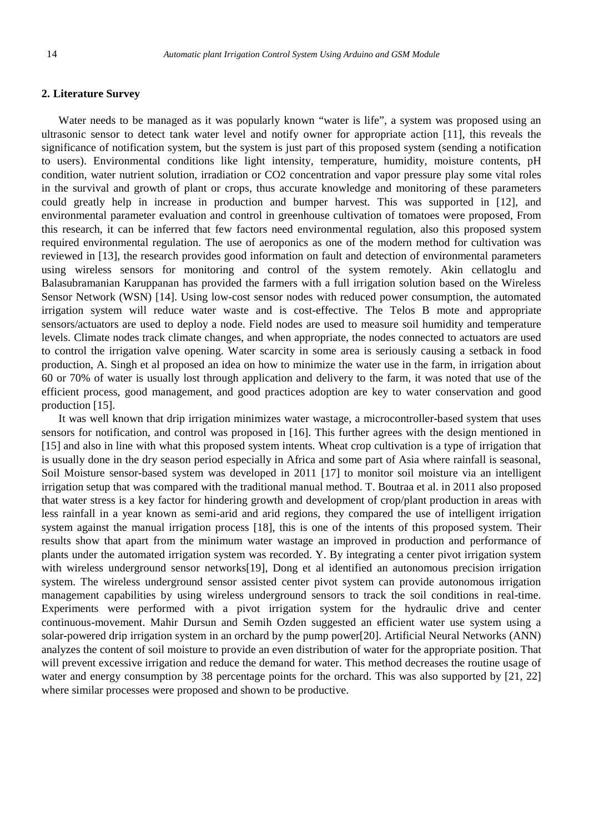# **2. Literature Survey**

Water needs to be managed as it was popularly known "water is life", a system was proposed using an ultrasonic sensor to detect tank water level and notify owner for appropriate action [11], this reveals the significance of notification system, but the system is just part of this proposed system (sending a notification to users). Environmental conditions like light intensity, temperature, humidity, moisture contents, pH condition, water nutrient solution, irradiation or CO2 concentration and vapor pressure play some vital roles in the survival and growth of plant or crops, thus accurate knowledge and monitoring of these parameters could greatly help in increase in production and bumper harvest. This was supported in [12], and environmental parameter evaluation and control in greenhouse cultivation of tomatoes were proposed, From this research, it can be inferred that few factors need environmental regulation, also this proposed system required environmental regulation. The use of aeroponics as one of the modern method for cultivation was reviewed in [13], the research provides good information on fault and detection of environmental parameters using wireless sensors for monitoring and control of the system remotely. Akin cellatoglu and Balasubramanian Karuppanan has provided the farmers with a full irrigation solution based on the Wireless Sensor Network (WSN) [14]. Using low-cost sensor nodes with reduced power consumption, the automated irrigation system will reduce water waste and is cost-effective. The Telos B mote and appropriate sensors/actuators are used to deploy a node. Field nodes are used to measure soil humidity and temperature levels. Climate nodes track climate changes, and when appropriate, the nodes connected to actuators are used to control the irrigation valve opening. Water scarcity in some area is seriously causing a setback in food production, A. Singh et al proposed an idea on how to minimize the water use in the farm, in irrigation about 60 or 70% of water is usually lost through application and delivery to the farm, it was noted that use of the efficient process, good management, and good practices adoption are key to water conservation and good production [15].

It was well known that drip irrigation minimizes water wastage, a microcontroller-based system that uses sensors for notification, and control was proposed in [16]. This further agrees with the design mentioned in [15] and also in line with what this proposed system intents. Wheat crop cultivation is a type of irrigation that is usually done in the dry season period especially in Africa and some part of Asia where rainfall is seasonal, Soil Moisture sensor-based system was developed in 2011 [17] to monitor soil moisture via an intelligent irrigation setup that was compared with the traditional manual method. T. Boutraa et al. in 2011 also proposed that water stress is a key factor for hindering growth and development of crop/plant production in areas with less rainfall in a year known as semi-arid and arid regions, they compared the use of intelligent irrigation system against the manual irrigation process [18], this is one of the intents of this proposed system. Their results show that apart from the minimum water wastage an improved in production and performance of plants under the automated irrigation system was recorded. Y. By integrating a center pivot irrigation system with wireless underground sensor networks[19], Dong et al identified an autonomous precision irrigation system. The wireless underground sensor assisted center pivot system can provide autonomous irrigation management capabilities by using wireless underground sensors to track the soil conditions in real-time. Experiments were performed with a pivot irrigation system for the hydraulic drive and center continuous-movement. Mahir Dursun and Semih Ozden suggested an efficient water use system using a solar-powered drip irrigation system in an orchard by the pump power[20]. Artificial Neural Networks (ANN) analyzes the content of soil moisture to provide an even distribution of water for the appropriate position. That will prevent excessive irrigation and reduce the demand for water. This method decreases the routine usage of water and energy consumption by 38 percentage points for the orchard. This was also supported by [21, 22] where similar processes were proposed and shown to be productive.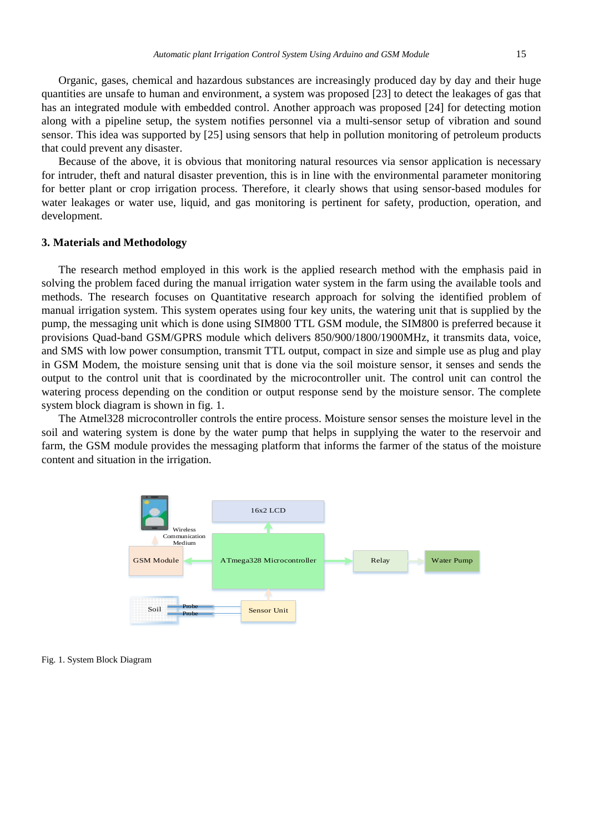Organic, gases, chemical and hazardous substances are increasingly produced day by day and their huge quantities are unsafe to human and environment, a system was proposed [23] to detect the leakages of gas that has an integrated module with embedded control. Another approach was proposed [24] for detecting motion along with a pipeline setup, the system notifies personnel via a multi-sensor setup of vibration and sound sensor. This idea was supported by [25] using sensors that help in pollution monitoring of petroleum products that could prevent any disaster.

Because of the above, it is obvious that monitoring natural resources via sensor application is necessary for intruder, theft and natural disaster prevention, this is in line with the environmental parameter monitoring for better plant or crop irrigation process. Therefore, it clearly shows that using sensor-based modules for water leakages or water use, liquid, and gas monitoring is pertinent for safety, production, operation, and development.

## **3. Materials and Methodology**

The research method employed in this work is the applied research method with the emphasis paid in solving the problem faced during the manual irrigation water system in the farm using the available tools and methods. The research focuses on Quantitative research approach for solving the identified problem of manual irrigation system. This system operates using four key units, the watering unit that is supplied by the pump, the messaging unit which is done using SIM800 TTL GSM module, the SIM800 is preferred because it provisions Quad-band GSM/GPRS module which delivers 850/900/1800/1900MHz, it transmits data, voice, and SMS with low power consumption, transmit TTL output, compact in size and simple use as plug and play in GSM Modem, the moisture sensing unit that is done via the soil moisture sensor, it senses and sends the output to the control unit that is coordinated by the microcontroller unit. The control unit can control the watering process depending on the condition or output response send by the moisture sensor. The complete system block diagram is shown in fig. 1.

The Atmel328 microcontroller controls the entire process. Moisture sensor senses the moisture level in the soil and watering system is done by the water pump that helps in supplying the water to the reservoir and farm, the GSM module provides the messaging platform that informs the farmer of the status of the moisture content and situation in the irrigation.



Fig. 1. System Block Diagram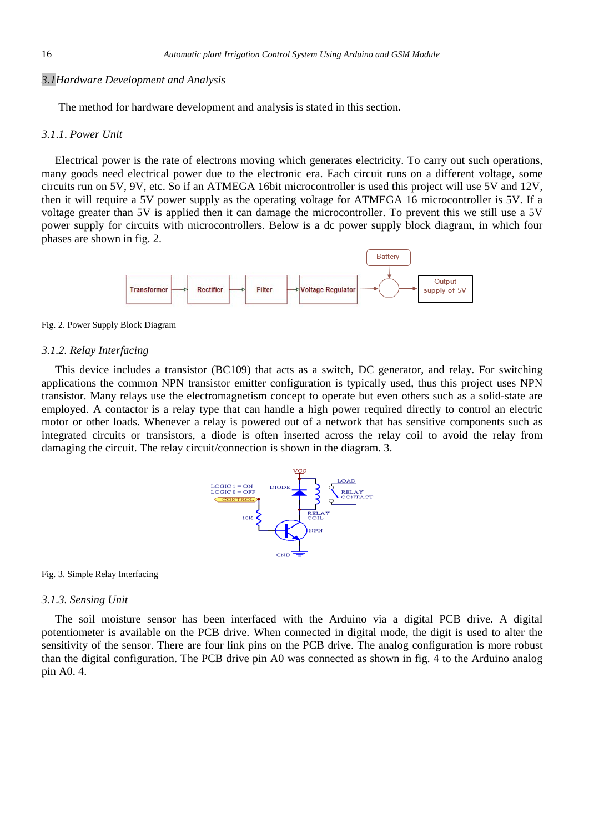## *3.1Hardware Development and Analysis*

The method for hardware development and analysis is stated in this section.

### *3.1*.*1*. *Power Unit*

Electrical power is the rate of electrons moving which generates electricity. To carry out such operations, many goods need electrical power due to the electronic era. Each circuit runs on a different voltage, some circuits run on 5V, 9V, etc. So if an ATMEGA 16bit microcontroller is used this project will use 5V and 12V, then it will require a 5V power supply as the operating voltage for ATMEGA 16 microcontroller is 5V. If a voltage greater than 5V is applied then it can damage the microcontroller. To prevent this we still use a 5V power supply for circuits with microcontrollers. Below is a dc power supply block diagram, in which four phases are shown in fig. 2.





## *3.1.2. Relay Interfacing*

This device includes a transistor (BC109) that acts as a switch, DC generator, and relay. For switching applications the common NPN transistor emitter configuration is typically used, thus this project uses NPN transistor. Many relays use the electromagnetism concept to operate but even others such as a solid-state are employed. A contactor is a relay type that can handle a high power required directly to control an electric motor or other loads. Whenever a relay is powered out of a network that has sensitive components such as integrated circuits or transistors, a diode is often inserted across the relay coil to avoid the relay from damaging the circuit. The relay circuit/connection is shown in the diagram. 3.



#### Fig. 3. Simple Relay Interfacing

## *3.1.3. Sensing Unit*

The soil moisture sensor has been interfaced with the Arduino via a digital PCB drive. A digital potentiometer is available on the PCB drive. When connected in digital mode, the digit is used to alter the sensitivity of the sensor. There are four link pins on the PCB drive. The analog configuration is more robust than the digital configuration. The PCB drive pin A0 was connected as shown in fig. 4 to the Arduino analog pin A0. 4.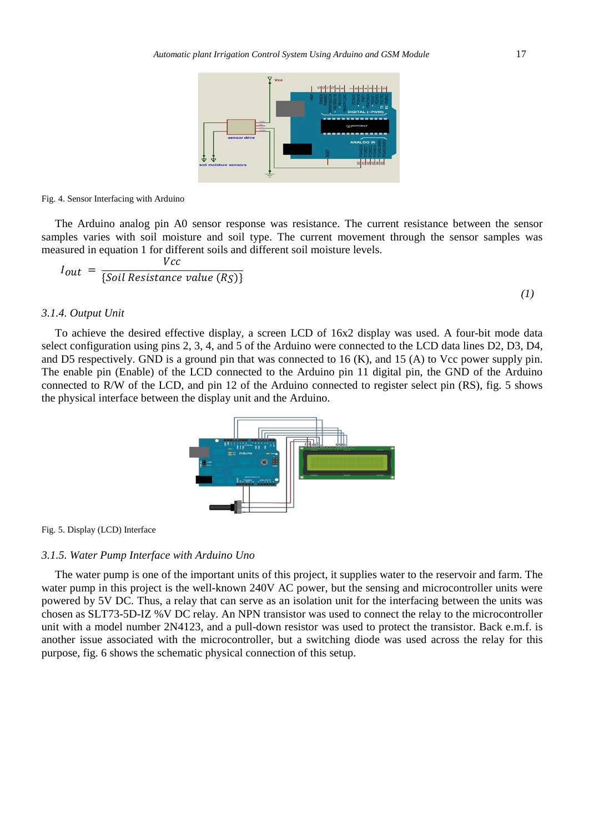

Fig. 4. Sensor Interfacing with Arduino

The Arduino analog pin A0 sensor response was resistance. The current resistance between the sensor samples varies with soil moisture and soil type. The current movement through the sensor samples was measured in equation 1 for different soils and different soil moisture levels.

$$
I_{out} = \frac{Vcc}{\{Soil Resistance value (RS)\}}
$$
\n(1)

## *3.1.4. Output Unit*

To achieve the desired effective display, a screen LCD of 16x2 display was used. A four-bit mode data select configuration using pins 2, 3, 4, and 5 of the Arduino were connected to the LCD data lines D2, D3, D4, and D5 respectively. GND is a ground pin that was connected to 16 (K), and 15 (A) to Vcc power supply pin. The enable pin (Enable) of the LCD connected to the Arduino pin 11 digital pin, the GND of the Arduino connected to R/W of the LCD, and pin 12 of the Arduino connected to register select pin (RS), fig. 5 shows the physical interface between the display unit and the Arduino.



Fig. 5. Display (LCD) Interface

## *3.1.5. Water Pump Interface with Arduino Uno*

The water pump is one of the important units of this project, it supplies water to the reservoir and farm. The water pump in this project is the well-known 240V AC power, but the sensing and microcontroller units were powered by 5V DC. Thus, a relay that can serve as an isolation unit for the interfacing between the units was chosen as SLT73-5D-IZ %V DC relay. An NPN transistor was used to connect the relay to the microcontroller unit with a model number 2N4123, and a pull-down resistor was used to protect the transistor. Back e.m.f. is another issue associated with the microcontroller, but a switching diode was used across the relay for this purpose, fig. 6 shows the schematic physical connection of this setup.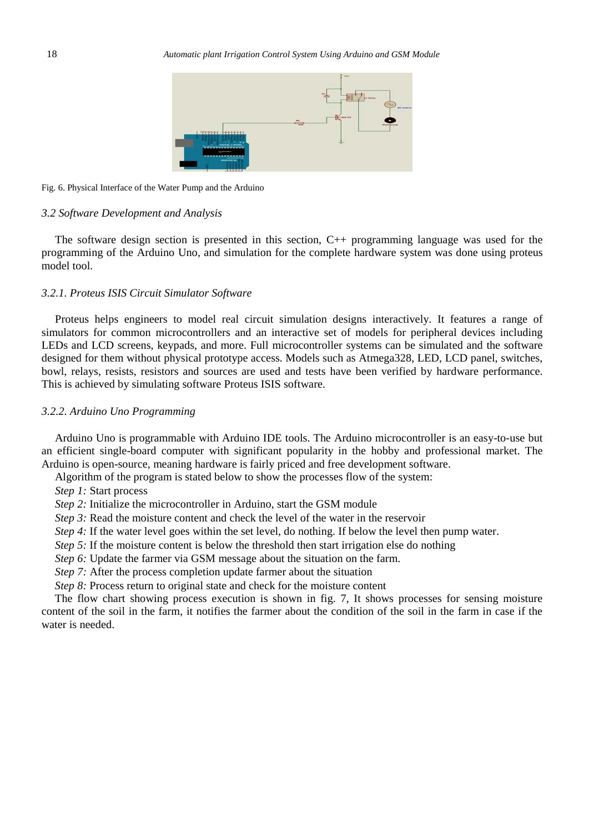

#### Fig. 6. Physical Interface of the Water Pump and the Arduino

## *3.2 Software Development and Analysis*

The software design section is presented in this section, C++ programming language was used for the programming of the Arduino Uno, and simulation for the complete hardware system was done using proteus model tool.

## *3.2.1. Proteus ISIS Circuit Simulator Software*

Proteus helps engineers to model real circuit simulation designs interactively. It features a range of simulators for common microcontrollers and an interactive set of models for peripheral devices including LEDs and LCD screens, keypads, and more. Full microcontroller systems can be simulated and the software designed for them without physical prototype access. Models such as Atmega328, LED, LCD panel, switches, bowl, relays, resists, resistors and sources are used and tests have been verified by hardware performance. This is achieved by simulating software Proteus ISIS software.

## *3.2.2. Arduino Uno Programming*

Arduino Uno is programmable with Arduino IDE tools. The Arduino microcontroller is an easy-to-use but an efficient single-board computer with significant popularity in the hobby and professional market. The Arduino is open-source, meaning hardware is fairly priced and free development software.

Algorithm of the program is stated below to show the processes flow of the system:

*Step 1:* Start process

*Step 2:* Initialize the microcontroller in Arduino, start the GSM module

*Step 3:* Read the moisture content and check the level of the water in the reservoir

*Step 4:* If the water level goes within the set level, do nothing. If below the level then pump water.

*Step 5:* If the moisture content is below the threshold then start irrigation else do nothing

*Step 6:* Update the farmer via GSM message about the situation on the farm.

*Step 7:* After the process completion update farmer about the situation

*Step 8:* Process return to original state and check for the moisture content

The flow chart showing process execution is shown in fig. 7, It shows processes for sensing moisture content of the soil in the farm, it notifies the farmer about the condition of the soil in the farm in case if the water is needed.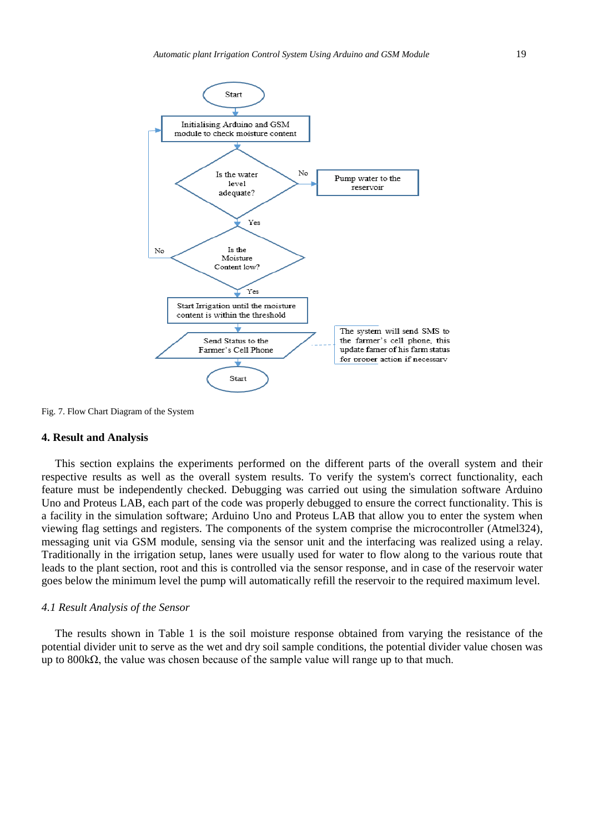

Fig. 7. Flow Chart Diagram of the System

## **4. Result and Analysis**

This section explains the experiments performed on the different parts of the overall system and their respective results as well as the overall system results. To verify the system's correct functionality, each feature must be independently checked. Debugging was carried out using the simulation software Arduino Uno and Proteus LAB, each part of the code was properly debugged to ensure the correct functionality. This is a facility in the simulation software; Arduino Uno and Proteus LAB that allow you to enter the system when viewing flag settings and registers. The components of the system comprise the microcontroller (Atmel324), messaging unit via GSM module, sensing via the sensor unit and the interfacing was realized using a relay. Traditionally in the irrigation setup, lanes were usually used for water to flow along to the various route that leads to the plant section, root and this is controlled via the sensor response, and in case of the reservoir water goes below the minimum level the pump will automatically refill the reservoir to the required maximum level.

## *4.1 Result Analysis of the Sensor*

The results shown in Table 1 is the soil moisture response obtained from varying the resistance of the potential divider unit to serve as the wet and dry soil sample conditions, the potential divider value chosen was up to  $800k\Omega$ , the value was chosen because of the sample value will range up to that much.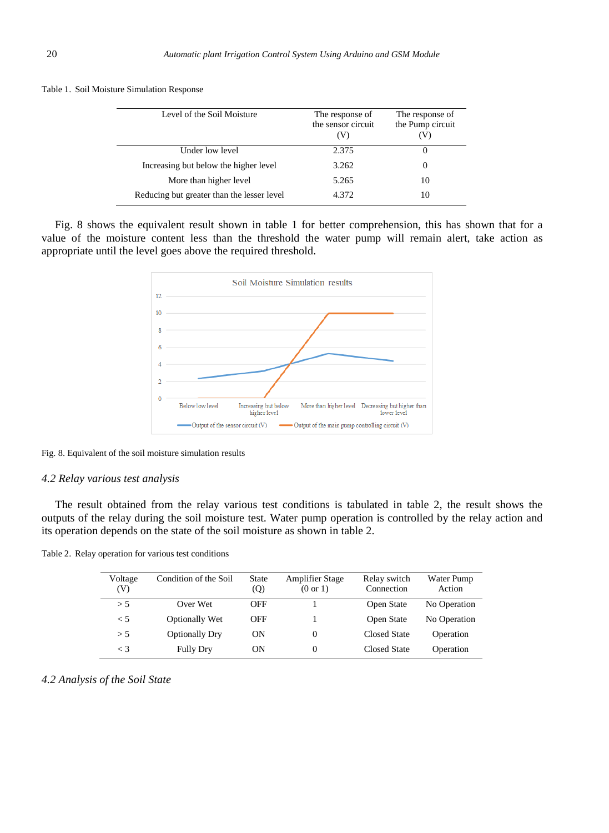| Level of the Soil Moisture                 | The response of<br>the sensor circuit<br>(V) | The response of<br>the Pump circuit |
|--------------------------------------------|----------------------------------------------|-------------------------------------|
| Under low level                            | 2.375                                        |                                     |
| Increasing but below the higher level      | 3.262                                        | $\theta$                            |
| More than higher level                     | 5.265                                        | 10                                  |
| Reducing but greater than the lesser level | 4.372                                        | 10                                  |

Table 1. Soil Moisture Simulation Response

Fig. 8 shows the equivalent result shown in table 1 for better comprehension, this has shown that for a value of the moisture content less than the threshold the water pump will remain alert, take action as appropriate until the level goes above the required threshold.



Fig. 8. Equivalent of the soil moisture simulation results

## *4.2 Relay various test analysis*

The result obtained from the relay various test conditions is tabulated in table 2, the result shows the outputs of the relay during the soil moisture test. Water pump operation is controlled by the relay action and its operation depends on the state of the soil moisture as shown in table 2.

|  |  |  |  |  |  | Table 2. Relay operation for various test conditions |
|--|--|--|--|--|--|------------------------------------------------------|
|--|--|--|--|--|--|------------------------------------------------------|

| Voltage<br>(V) | Condition of the Soil | State<br>(Q) | <b>Amplifier Stage</b><br>$(0 \text{ or } 1)$ | Relay switch<br>Connection | Water Pump<br>Action |
|----------------|-----------------------|--------------|-----------------------------------------------|----------------------------|----------------------|
| > 5            | Over Wet              | <b>OFF</b>   |                                               | Open State                 | No Operation         |
| < 5            | Optionally Wet        | OFF          |                                               | Open State                 | No Operation         |
| > 5            | <b>Optionally Dry</b> | ON           | $\Omega$                                      | Closed State               | Operation            |
| $\leq$ 3       | <b>Fully Dry</b>      | ON           | $\Omega$                                      | Closed State               | Operation            |

*4.2 Analysis of the Soil State*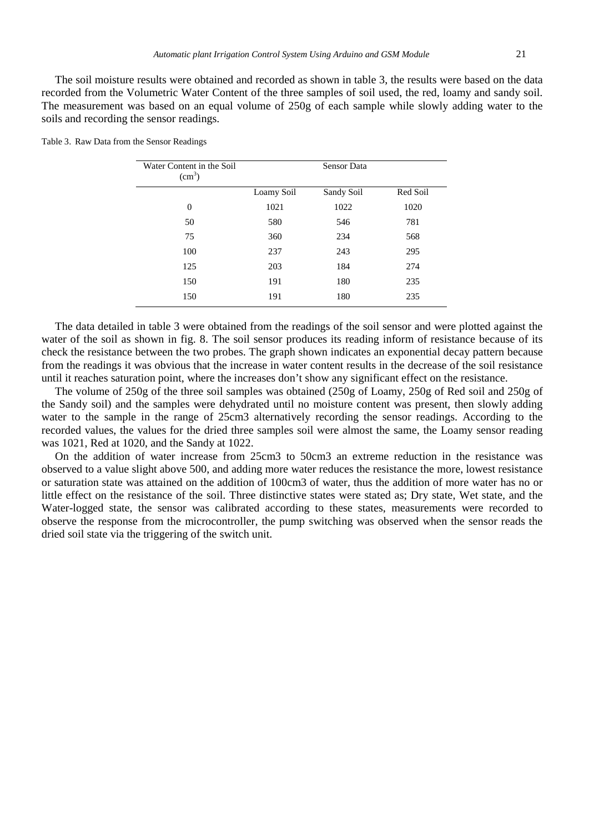The soil moisture results were obtained and recorded as shown in table 3, the results were based on the data recorded from the Volumetric Water Content of the three samples of soil used, the red, loamy and sandy soil. The measurement was based on an equal volume of 250g of each sample while slowly adding water to the soils and recording the sensor readings.

| Water Content in the Soil<br>(cm <sup>3</sup> ) | <b>Sensor Data</b> |            |          |
|-------------------------------------------------|--------------------|------------|----------|
|                                                 | Loamy Soil         | Sandy Soil | Red Soil |
| $\theta$                                        | 1021               | 1022       | 1020     |
| 50                                              | 580                | 546        | 781      |
| 75                                              | 360                | 234        | 568      |
| 100                                             | 237                | 243        | 295      |
| 125                                             | 203                | 184        | 274      |
| 150                                             | 191                | 180        | 235      |
| 150                                             | 191                | 180        | 235      |

Table 3. Raw Data from the Sensor Readings

The data detailed in table 3 were obtained from the readings of the soil sensor and were plotted against the water of the soil as shown in fig. 8. The soil sensor produces its reading inform of resistance because of its check the resistance between the two probes. The graph shown indicates an exponential decay pattern because from the readings it was obvious that the increase in water content results in the decrease of the soil resistance until it reaches saturation point, where the increases don't show any significant effect on the resistance.

The volume of 250g of the three soil samples was obtained (250g of Loamy, 250g of Red soil and 250g of the Sandy soil) and the samples were dehydrated until no moisture content was present, then slowly adding water to the sample in the range of 25cm3 alternatively recording the sensor readings. According to the recorded values, the values for the dried three samples soil were almost the same, the Loamy sensor reading was 1021, Red at 1020, and the Sandy at 1022.

On the addition of water increase from 25cm3 to 50cm3 an extreme reduction in the resistance was observed to a value slight above 500, and adding more water reduces the resistance the more, lowest resistance or saturation state was attained on the addition of 100cm3 of water, thus the addition of more water has no or little effect on the resistance of the soil. Three distinctive states were stated as; Dry state, Wet state, and the Water-logged state, the sensor was calibrated according to these states, measurements were recorded to observe the response from the microcontroller, the pump switching was observed when the sensor reads the dried soil state via the triggering of the switch unit.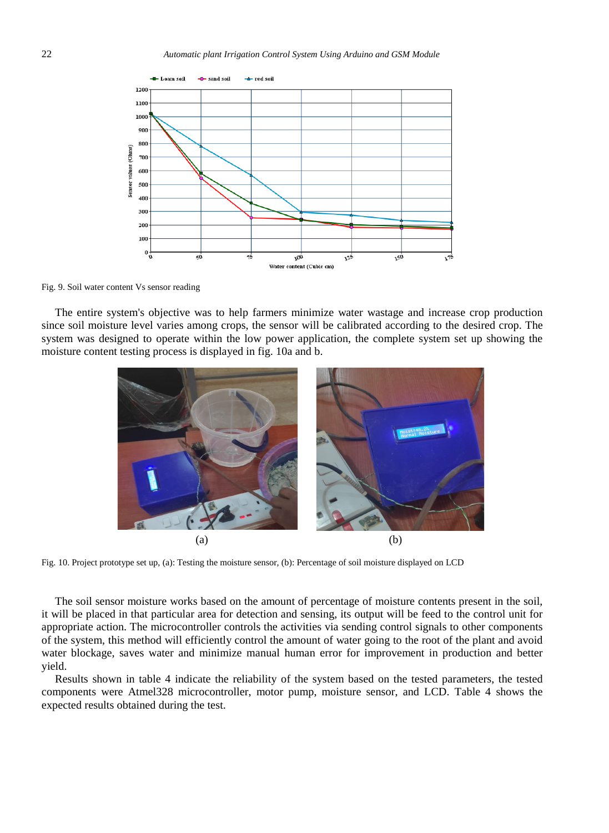

Fig. 9. Soil water content Vs sensor reading

The entire system's objective was to help farmers minimize water wastage and increase crop production since soil moisture level varies among crops, the sensor will be calibrated according to the desired crop. The system was designed to operate within the low power application, the complete system set up showing the moisture content testing process is displayed in fig. 10a and b.



Fig. 10. Project prototype set up, (a): Testing the moisture sensor, (b): Percentage of soil moisture displayed on LCD

The soil sensor moisture works based on the amount of percentage of moisture contents present in the soil, it will be placed in that particular area for detection and sensing, its output will be feed to the control unit for appropriate action. The microcontroller controls the activities via sending control signals to other components of the system, this method will efficiently control the amount of water going to the root of the plant and avoid water blockage, saves water and minimize manual human error for improvement in production and better yield.

Results shown in table 4 indicate the reliability of the system based on the tested parameters, the tested components were Atmel328 microcontroller, motor pump, moisture sensor, and LCD. Table 4 shows the expected results obtained during the test.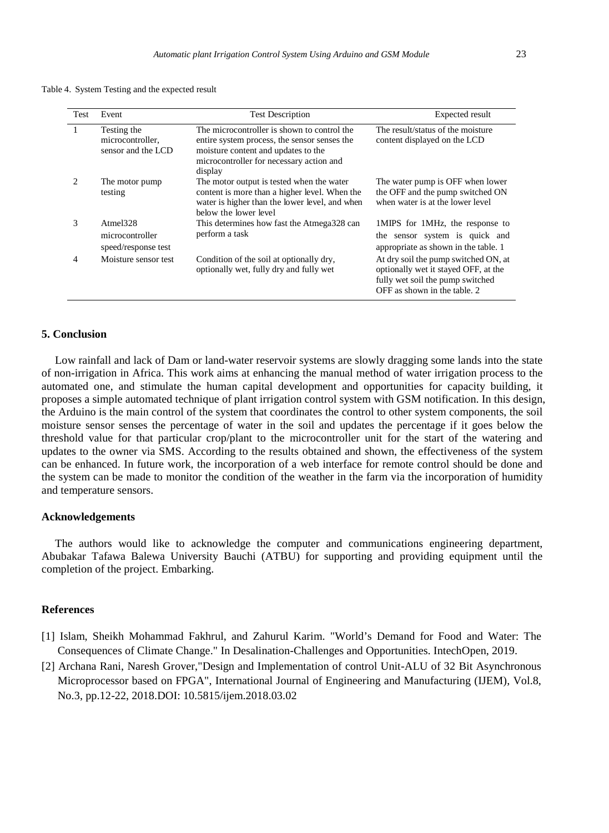Table 4. System Testing and the expected result

| <b>Test</b>                 | Event                                                 | <b>Test Description</b>                                                                                                                                                                   | <b>Expected result</b>                                                                                                                           |
|-----------------------------|-------------------------------------------------------|-------------------------------------------------------------------------------------------------------------------------------------------------------------------------------------------|--------------------------------------------------------------------------------------------------------------------------------------------------|
|                             | Testing the<br>microcontroller.<br>sensor and the LCD | The microcontroller is shown to control the<br>entire system process, the sensor senses the<br>moisture content and updates to the<br>microcontroller for necessary action and<br>display | The result/status of the moisture<br>content displayed on the LCD                                                                                |
| $\mathcal{D}_{\mathcal{L}}$ | The motor pump<br>testing                             | The motor output is tested when the water<br>content is more than a higher level. When the<br>water is higher than the lower level, and when<br>below the lower level                     | The water pump is OFF when lower<br>the OFF and the pump switched ON<br>when water is at the lower level                                         |
| 3                           | Atmel328<br>microcontroller<br>speed/response test    | This determines how fast the Atmega328 can<br>perform a task                                                                                                                              | 1MIPS for 1MHz, the response to<br>the sensor system is quick and<br>appropriate as shown in the table. 1                                        |
| 4                           | Moisture sensor test                                  | Condition of the soil at optionally dry,<br>optionally wet, fully dry and fully wet                                                                                                       | At dry soil the pump switched ON, at<br>optionally wet it stayed OFF, at the<br>fully wet soil the pump switched<br>OFF as shown in the table. 2 |

## **5. Conclusion**

Low rainfall and lack of Dam or land-water reservoir systems are slowly dragging some lands into the state of non-irrigation in Africa. This work aims at enhancing the manual method of water irrigation process to the automated one, and stimulate the human capital development and opportunities for capacity building, it proposes a simple automated technique of plant irrigation control system with GSM notification. In this design, the Arduino is the main control of the system that coordinates the control to other system components, the soil moisture sensor senses the percentage of water in the soil and updates the percentage if it goes below the threshold value for that particular crop/plant to the microcontroller unit for the start of the watering and updates to the owner via SMS. According to the results obtained and shown, the effectiveness of the system can be enhanced. In future work, the incorporation of a web interface for remote control should be done and the system can be made to monitor the condition of the weather in the farm via the incorporation of humidity and temperature sensors.

## **Acknowledgements**

The authors would like to acknowledge the computer and communications engineering department, Abubakar Tafawa Balewa University Bauchi (ATBU) for supporting and providing equipment until the completion of the project. Embarking.

# **References**

- [1] Islam, Sheikh Mohammad Fakhrul, and Zahurul Karim. "World's Demand for Food and Water: The Consequences of Climate Change." In Desalination-Challenges and Opportunities. IntechOpen, 2019.
- [2] Archana Rani, Naresh Grover,"Design and Implementation of control Unit-ALU of 32 Bit Asynchronous Microprocessor based on FPGA", International Journal of Engineering and Manufacturing (IJEM), Vol.8, No.3, pp.12-22, 2018.DOI: 10.5815/ijem.2018.03.02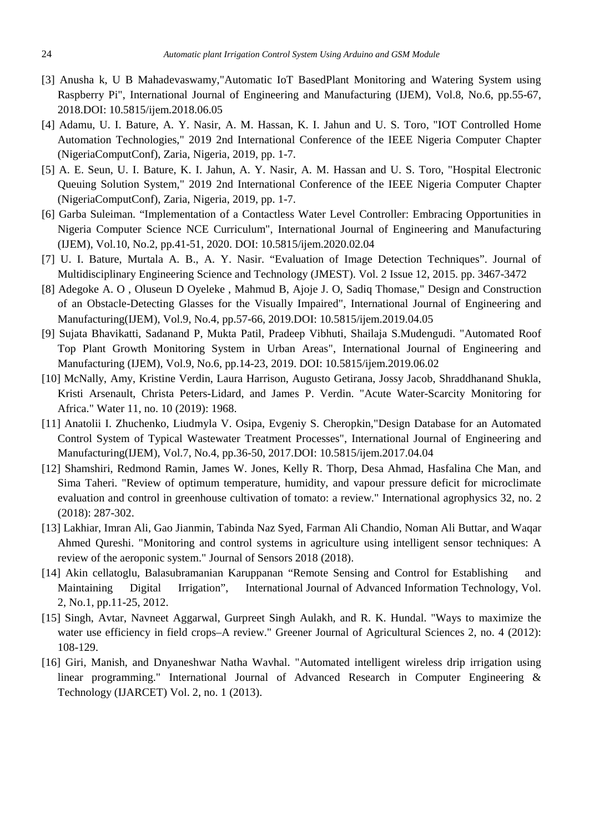- [3] Anusha k, U B Mahadevaswamy,"Automatic IoT BasedPlant Monitoring and Watering System using Raspberry Pi", International Journal of Engineering and Manufacturing (IJEM), Vol.8, No.6, pp.55-67, 2018.DOI: 10.5815/ijem.2018.06.05
- [4] Adamu, U. I. Bature, A. Y. Nasir, A. M. Hassan, K. I. Jahun and U. S. Toro, "IOT Controlled Home Automation Technologies," 2019 2nd International Conference of the IEEE Nigeria Computer Chapter (NigeriaComputConf), Zaria, Nigeria, 2019, pp. 1-7.
- [5] A. E. Seun, U. I. Bature, K. I. Jahun, A. Y. Nasir, A. M. Hassan and U. S. Toro, "Hospital Electronic Queuing Solution System," 2019 2nd International Conference of the IEEE Nigeria Computer Chapter (NigeriaComputConf), Zaria, Nigeria, 2019, pp. 1-7.
- [6] Garba Suleiman. "Implementation of a Contactless Water Level Controller: Embracing Opportunities in Nigeria Computer Science NCE Curriculum", International Journal of Engineering and Manufacturing (IJEM), Vol.10, No.2, pp.41-51, 2020. DOI: 10.5815/ijem.2020.02.04
- [7] U. I. Bature, Murtala A. B., A. Y. Nasir. "Evaluation of Image Detection Techniques". Journal of Multidisciplinary Engineering Science and Technology (JMEST). Vol. 2 Issue 12, 2015. pp. 3467-3472
- [8] Adegoke A. O , Oluseun D Oyeleke , Mahmud B, Ajoje J. O, Sadiq Thomase," Design and Construction of an Obstacle-Detecting Glasses for the Visually Impaired", International Journal of Engineering and Manufacturing(IJEM), Vol.9, No.4, pp.57-66, 2019.DOI: 10.5815/ijem.2019.04.05
- [9] Sujata Bhavikatti, Sadanand P, Mukta Patil, Pradeep Vibhuti, Shailaja S.Mudengudi. "Automated Roof Top Plant Growth Monitoring System in Urban Areas", International Journal of Engineering and Manufacturing (IJEM), Vol.9, No.6, pp.14-23, 2019. DOI: 10.5815/ijem.2019.06.02
- [10] McNally, Amy, Kristine Verdin, Laura Harrison, Augusto Getirana, Jossy Jacob, Shraddhanand Shukla, Kristi Arsenault, Christa Peters-Lidard, and James P. Verdin. "Acute Water-Scarcity Monitoring for Africa." Water 11, no. 10 (2019): 1968.
- [11] Anatolii I. Zhuchenko, Liudmyla V. Osipa, Evgeniy S. Cheropkin,"Design Database for an Automated Control System of Typical Wastewater Treatment Processes", International Journal of Engineering and Manufacturing(IJEM), Vol.7, No.4, pp.36-50, 2017.DOI: 10.5815/ijem.2017.04.04
- [12] Shamshiri, Redmond Ramin, James W. Jones, Kelly R. Thorp, Desa Ahmad, Hasfalina Che Man, and Sima Taheri. "Review of optimum temperature, humidity, and vapour pressure deficit for microclimate evaluation and control in greenhouse cultivation of tomato: a review." International agrophysics 32, no. 2 (2018): 287-302.
- [13] Lakhiar, Imran Ali, Gao Jianmin, Tabinda Naz Syed, Farman Ali Chandio, Noman Ali Buttar, and Waqar Ahmed Qureshi. "Monitoring and control systems in agriculture using intelligent sensor techniques: A review of the aeroponic system." Journal of Sensors 2018 (2018).
- [14] Akin cellatoglu, Balasubramanian Karuppanan "Remote Sensing and Control for Establishing and Maintaining Digital Irrigation", International Journal of Advanced Information Technology, Vol. 2, No.1, pp.11-25, 2012.
- [15] Singh, Avtar, Navneet Aggarwal, Gurpreet Singh Aulakh, and R. K. Hundal. "Ways to maximize the water use efficiency in field crops–A review." Greener Journal of Agricultural Sciences 2, no. 4 (2012): 108-129.
- [16] Giri, Manish, and Dnyaneshwar Natha Wavhal. "Automated intelligent wireless drip irrigation using linear programming." International Journal of Advanced Research in Computer Engineering & Technology (IJARCET) Vol. 2, no. 1 (2013).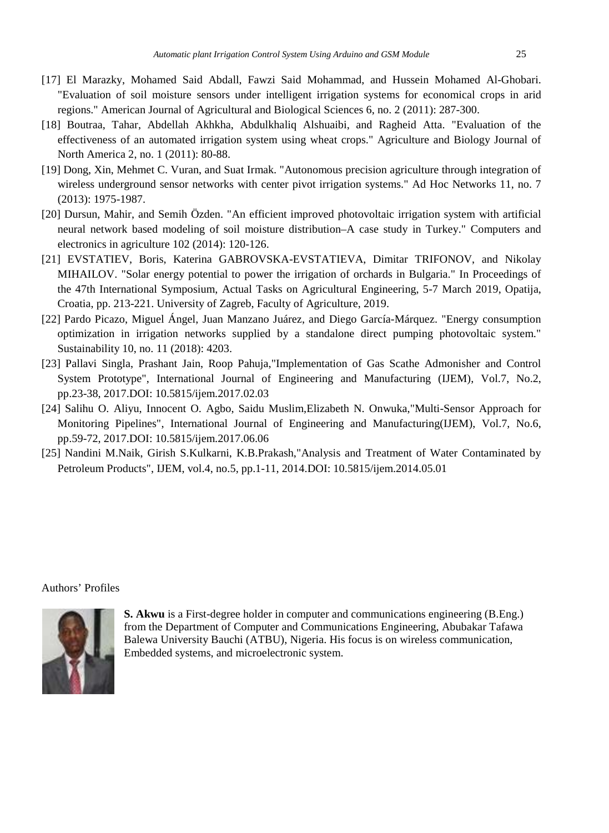- [17] El Marazky, Mohamed Said Abdall, Fawzi Said Mohammad, and Hussein Mohamed Al-Ghobari. "Evaluation of soil moisture sensors under intelligent irrigation systems for economical crops in arid regions." American Journal of Agricultural and Biological Sciences 6, no. 2 (2011): 287-300.
- [18] Boutraa, Tahar, Abdellah Akhkha, Abdulkhaliq Alshuaibi, and Ragheid Atta. "Evaluation of the effectiveness of an automated irrigation system using wheat crops." Agriculture and Biology Journal of North America 2, no. 1 (2011): 80-88.
- [19] Dong, Xin, Mehmet C. Vuran, and Suat Irmak. "Autonomous precision agriculture through integration of wireless underground sensor networks with center pivot irrigation systems." Ad Hoc Networks 11, no. 7 (2013): 1975-1987.
- [20] Dursun, Mahir, and Semih Özden. "An efficient improved photovoltaic irrigation system with artificial neural network based modeling of soil moisture distribution–A case study in Turkey." Computers and electronics in agriculture 102 (2014): 120-126.
- [21] EVSTATIEV, Boris, Katerina GABROVSKA-EVSTATIEVA, Dimitar TRIFONOV, and Nikolay MIHAILOV. "Solar energy potential to power the irrigation of orchards in Bulgaria." In Proceedings of the 47th International Symposium, Actual Tasks on Agricultural Engineering, 5-7 March 2019, Opatija, Croatia, pp. 213-221. University of Zagreb, Faculty of Agriculture, 2019.
- [22] Pardo Picazo, Miguel Ángel, Juan Manzano Juárez, and Diego García-Márquez. "Energy consumption optimization in irrigation networks supplied by a standalone direct pumping photovoltaic system." Sustainability 10, no. 11 (2018): 4203.
- [23] Pallavi Singla, Prashant Jain, Roop Pahuja,"Implementation of Gas Scathe Admonisher and Control System Prototype", International Journal of Engineering and Manufacturing (IJEM), Vol.7, No.2, pp.23-38, 2017.DOI: 10.5815/ijem.2017.02.03
- [24] Salihu O. Aliyu, Innocent O. Agbo, Saidu Muslim,Elizabeth N. Onwuka,"Multi-Sensor Approach for Monitoring Pipelines", International Journal of Engineering and Manufacturing(IJEM), Vol.7, No.6, pp.59-72, 2017.DOI: 10.5815/ijem.2017.06.06
- [25] Nandini M.Naik, Girish S.Kulkarni, K.B.Prakash,"Analysis and Treatment of Water Contaminated by Petroleum Products", IJEM, vol.4, no.5, pp.1-11, 2014.DOI: 10.5815/ijem.2014.05.01

## Authors' Profiles



**S. Akwu** is a First-degree holder in computer and communications engineering (B.Eng.) from the Department of Computer and Communications Engineering, Abubakar Tafawa Balewa University Bauchi (ATBU), Nigeria. His focus is on wireless communication, Embedded systems, and microelectronic system.